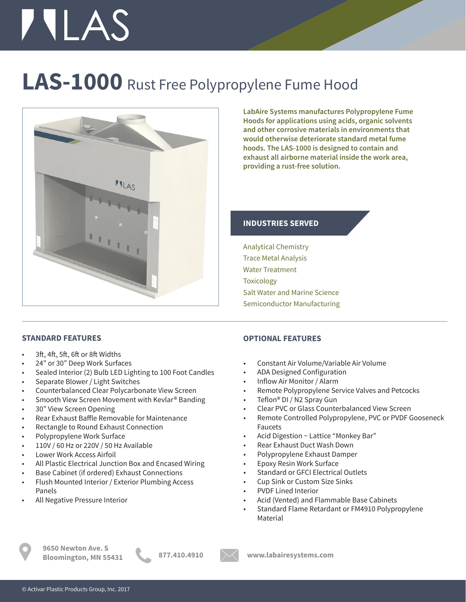# **TILAS**

### **LAS-1000** Rust Free Polypropylene Fume Hood



**LabAire Systems manufactures Polypropylene Fume Hoods for applications using acids, organic solvents and other corrosive materials in environments that would otherwise deteriorate standard metal fume hoods. The LAS-1000 is designed to contain and exhaust all airborne material inside the work area, providing a rust-free solution.**

### **INDUSTRIES SERVED**

Analytical Chemistry Trace Metal Analysis Water Treatment **Toxicology** Salt Water and Marine Science Semiconductor Manufacturing

### **STANDARD FEATURES**

- 3ft, 4ft, 5ft, 6ft or 8ft Widths
- 24" or 30" Deep Work Surfaces
- Sealed Interior (2) Bulb LED Lighting to 100 Foot Candles
- Separate Blower / Light Switches
- Counterbalanced Clear Polycarbonate View Screen
- Smooth View Screen Movement with Kevlar® Banding
- 30" View Screen Opening
- Rear Exhaust Baffle Removable for Maintenance
- Rectangle to Round Exhaust Connection
- Polypropylene Work Surface
- 110V / 60 Hz or 220V / 50 Hz Available
- Lower Work Access Airfoil
- All Plastic Electrical Junction Box and Encased Wiring
- Base Cabinet (if ordered) Exhaust Connections
- Flush Mounted Interior / Exterior Plumbing Access Panels
- All Negative Pressure Interior

### **OPTIONAL FEATURES**

- Constant Air Volume/Variable Air Volume
- ADA Designed Configuration
- Inflow Air Monitor / Alarm
- Remote Polypropylene Service Valves and Petcocks
- Teflon® DI / N2 Spray Gun
- Clear PVC or Glass Counterbalanced View Screen
- Remote Controlled Polypropylene, PVC or PVDF Gooseneck Faucets
- Acid Digestion ~ Lattice "Monkey Bar"
- Rear Exhaust Duct Wash Down
- Polypropylene Exhaust Damper
- Epoxy Resin Work Surface
- Standard or GFCI Electrical Outlets
- Cup Sink or Custom Size Sinks
- PVDF Lined Interior
- Acid (Vented) and Flammable Base Cabinets
- Standard Flame Retardant or FM4910 Polypropylene Material

**9650 Newton Ave. S Bloomington, MN 55431 877.410.4910 www.labairesystems.com**